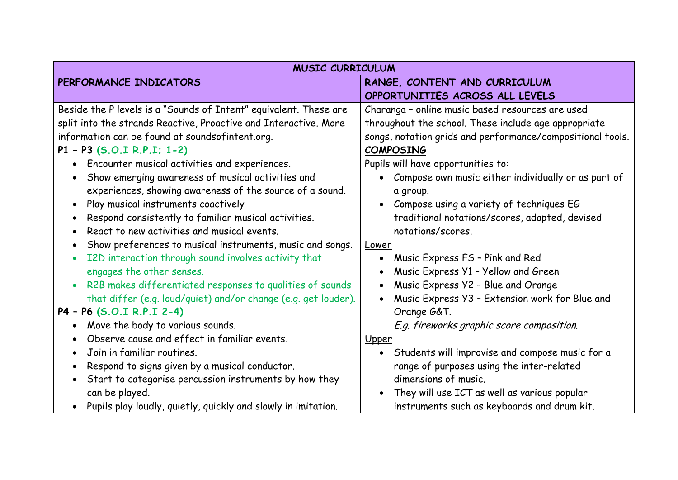| <b>MUSIC CURRICULUM</b>                                                |                                                              |
|------------------------------------------------------------------------|--------------------------------------------------------------|
| PERFORMANCE INDICATORS                                                 | RANGE, CONTENT AND CURRICULUM                                |
|                                                                        | OPPORTUNITIES ACROSS ALL LEVELS                              |
| Beside the P levels is a "Sounds of Intent" equivalent. These are      | Charanga - online music based resources are used             |
| split into the strands Reactive, Proactive and Interactive. More       | throughout the school. These include age appropriate         |
| information can be found at soundsofintent.org.                        | songs, notation grids and performance/compositional tools.   |
| P1 - P3 (S.O.I R.P.I; 1-2)                                             | <b>COMPOSING</b>                                             |
| • Encounter musical activities and experiences.                        | Pupils will have opportunities to:                           |
| Show emerging awareness of musical activities and                      | Compose own music either individually or as part of          |
| experiences, showing awareness of the source of a sound.               | a group.                                                     |
| Play musical instruments coactively<br>$\bullet$                       | • Compose using a variety of techniques EG                   |
| Respond consistently to familiar musical activities.<br>$\bullet$      | traditional notations/scores, adapted, devised               |
| React to new activities and musical events.                            | notations/scores.                                            |
| Show preferences to musical instruments, music and songs.<br>$\bullet$ | Lower                                                        |
| I2D interaction through sound involves activity that<br>$\bullet$      | Music Express FS - Pink and Red<br>$\bullet$                 |
| engages the other senses.                                              | Music Express Y1 - Yellow and Green                          |
| R2B makes differentiated responses to qualities of sounds              | Music Express Y2 - Blue and Orange                           |
| that differ (e.g. loud/quiet) and/or change (e.g. get louder).         | Music Express Y3 - Extension work for Blue and               |
| P4 - P6 (S.O.I R.P.I 2-4)                                              | Orange G&T.                                                  |
| Move the body to various sounds.                                       | E.g. fireworks graphic score composition.                    |
| Observe cause and effect in familiar events.                           | Upper                                                        |
| Join in familiar routines.                                             | Students will improvise and compose music for a<br>$\bullet$ |
| Respond to signs given by a musical conductor.<br>$\bullet$            | range of purposes using the inter-related                    |
| Start to categorise percussion instruments by how they                 | dimensions of music.                                         |
| can be played.                                                         | They will use ICT as well as various popular                 |
| Pupils play loudly, quietly, quickly and slowly in imitation.          | instruments such as keyboards and drum kit.                  |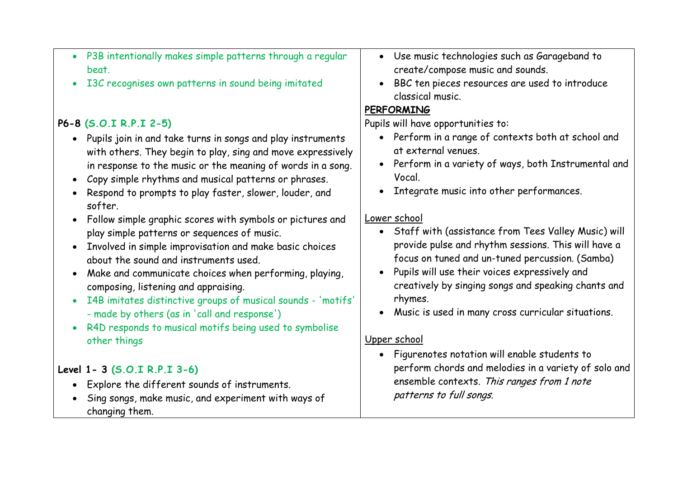- P3B intentionally makes simple patterns through a regular beat.
- I3C recognises own patterns in sound being imitated

## **P6-8 (S.O.I R.P.I 2-5)**

- Pupils join in and take turns in songs and play instruments with others. They begin to play, sing and move expressively in response to the music or the meaning of words in a song.
- Copy simple rhythms and musical patterns or phrases.
- Respond to prompts to play faster, slower, louder, and softer.
- Follow simple graphic scores with symbols or pictures and play simple patterns or sequences of music.
- Involved in simple improvisation and make basic choices about the sound and instruments used.
- Make and communicate choices when performing, playing, composing, listening and appraising.
- I4B imitates distinctive groups of musical sounds 'motifs' - made by others (as in 'call and response')
- R4D responds to musical motifs being used to symbolise other things

#### **Level 1- 3 (S.O.I R.P.I 3-6)**

- Explore the different sounds of instruments.
- Sing songs, make music, and experiment with ways of changing them.
- Use music technologies such as Garageband to create/compose music and sounds.
- BBC ten pieces resources are used to introduce classical music.

## **PERFORMING**

Pupils will have opportunities to:

- Perform in a range of contexts both at school and at external venues.
- Perform in a variety of ways, both Instrumental and Vocal.
- Integrate music into other performances.

#### Lower school

- Staff with (assistance from Tees Valley Music) will provide pulse and rhythm sessions. This will have a focus on tuned and un-tuned percussion. (Samba)
- Pupils will use their voices expressively and creatively by singing songs and speaking chants and rhymes.
- Music is used in many cross curricular situations.

## Upper school

 Figurenotes notation will enable students to perform chords and melodies in a variety of solo and ensemble contexts. This ranges from 1 note patterns to full songs.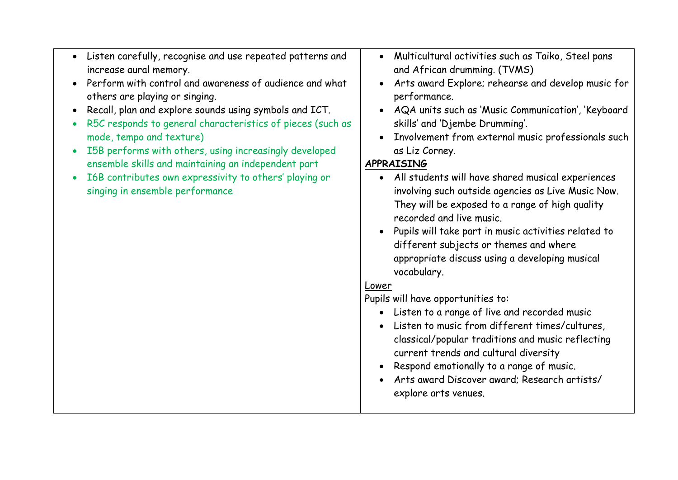- Listen carefully, recognise and use repeated patterns and increase aural memory.
- Perform with control and awareness of audience and what others are playing or singing.
- Recall, plan and explore sounds using symbols and ICT.
- R5C responds to general characteristics of pieces (such as mode, tempo and texture)
- I5B performs with others, using increasingly developed ensemble skills and maintaining an independent part
- I6B contributes own expressivity to others' playing or singing in ensemble performance
- Multicultural activities such as Taiko, Steel pans and African drumming. (TVMS)
- Arts award Explore; rehearse and develop music for performance.
- AQA units such as 'Music Communication', 'Keyboard skills' and 'Djembe Drumming'.
- Involvement from external music professionals such as Liz Corney.

# **APPRAISING**

- All students will have shared musical experiences involving such outside agencies as Live Music Now. They will be exposed to a range of high quality recorded and live music.
- Pupils will take part in music activities related to different subjects or themes and where appropriate discuss using a developing musical vocabulary.

#### Lower

Pupils will have opportunities to:

- Listen to a range of live and recorded music
- Listen to music from different times/cultures, classical/popular traditions and music reflecting current trends and cultural diversity
- Respond emotionally to a range of music.
- Arts award Discover award; Research artists/ explore arts venues.